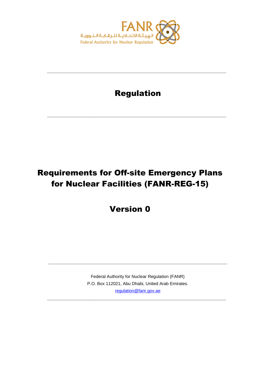

## Regulation

**\_\_\_\_\_\_\_\_\_\_\_\_\_\_\_\_\_\_\_\_\_\_\_\_\_\_\_\_\_\_\_\_\_\_\_\_\_\_\_\_\_\_\_\_\_\_\_\_\_\_\_\_\_\_\_\_\_\_\_\_\_\_\_\_\_\_\_**

**\_\_\_\_\_\_\_\_\_\_\_\_\_\_\_\_\_\_\_\_\_\_\_\_\_\_\_\_\_\_\_\_\_\_\_\_\_\_\_\_\_\_\_\_\_\_\_\_\_\_\_\_\_\_\_\_\_\_\_\_\_\_\_\_\_\_\_**

# Requirements for Off-site Emergency Plans for Nuclear Facilities (FANR-REG-15)

Version 0

Federal Authority for Nuclear Regulation (FANR) P.O. Box 112021, Abu Dhabi, United Arab Emirates. [regulation@fanr.gov.ae](http://www.fanr.gov.ae/)

**\_\_\_\_\_\_\_\_\_\_\_\_\_\_\_\_\_\_\_\_\_\_\_\_\_\_\_\_\_\_\_\_\_\_\_\_\_\_\_\_\_\_\_\_\_\_\_\_\_\_\_\_\_\_\_\_\_\_\_\_\_\_\_\_\_\_\_**

**\_\_\_\_\_\_\_\_\_\_\_\_\_\_\_\_\_\_\_\_\_\_\_\_\_\_\_\_\_\_\_\_\_\_\_\_\_\_\_\_\_\_\_\_\_\_\_\_\_\_\_\_\_\_\_\_\_\_\_\_\_\_\_\_\_\_\_**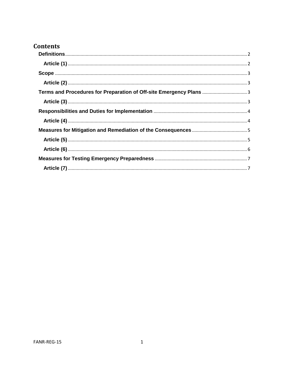### **Contents**

<span id="page-1-0"></span>

| Terms and Procedures for Preparation of Off-site Emergency Plans  3 |  |
|---------------------------------------------------------------------|--|
|                                                                     |  |
|                                                                     |  |
|                                                                     |  |
|                                                                     |  |
|                                                                     |  |
|                                                                     |  |
|                                                                     |  |
|                                                                     |  |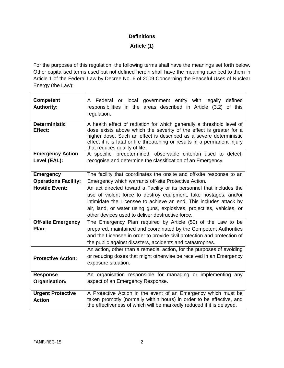#### **Definitions**

**Article (1)**

<span id="page-2-0"></span>For the purposes of this regulation, the following terms shall have the meanings set forth below. Other capitalised terms used but not defined herein shall have the meaning ascribed to them in Article 1 of the Federal Law by Decree No. 6 of 2009 Concerning the Peaceful Uses of Nuclear Energy (the Law):

| <b>Competent</b><br><b>Authority:</b>     | A Federal or local government entity with legally<br>defined<br>responsibilities in the areas described in Article (3.2) of this<br>regulation.                                                                                                                                                                                             |
|-------------------------------------------|---------------------------------------------------------------------------------------------------------------------------------------------------------------------------------------------------------------------------------------------------------------------------------------------------------------------------------------------|
| <b>Deterministic</b><br>Effect:           | A health effect of radiation for which generally a threshold level of<br>dose exists above which the severity of the effect is greater for a<br>higher dose. Such an effect is described as a severe deterministic<br>effect if it is fatal or life threatening or results in a permanent injury<br>that reduces quality of life.           |
| <b>Emergency Action</b><br>Level (EAL):   | A specific, predetermined, observable criterion used to detect,<br>recognise and determine the classification of an Emergency.                                                                                                                                                                                                              |
| <b>Emergency</b>                          | The facility that coordinates the onsite and off-site response to an                                                                                                                                                                                                                                                                        |
| <b>Operations Facility:</b>               | Emergency which warrants off-site Protective Action.                                                                                                                                                                                                                                                                                        |
| <b>Hostile Event:</b>                     | An act directed toward a Facility or its personnel that includes the<br>use of violent force to destroy equipment, take hostages, and/or<br>intimidate the Licensee to achieve an end. This includes attack by<br>air, land, or water using guns, explosives, projectiles, vehicles, or<br>other devices used to deliver destructive force. |
| <b>Off-site Emergency</b><br>Plan:        | The Emergency Plan required by Article (50) of the Law to be<br>prepared, maintained and coordinated by the Competent Authorities<br>and the Licensee in order to provide civil protection and protection of<br>the public against disasters, accidents and catastrophes.                                                                   |
| <b>Protective Action:</b>                 | An action, other than a remedial action, for the purposes of avoiding<br>or reducing doses that might otherwise be received in an Emergency<br>exposure situation.                                                                                                                                                                          |
| <b>Response</b><br>Organisation:          | An organisation responsible for managing or implementing any<br>aspect of an Emergency Response.                                                                                                                                                                                                                                            |
| <b>Urgent Protective</b><br><b>Action</b> | A Protective Action in the event of an Emergency which must be<br>taken promptly (normally within hours) in order to be effective, and<br>the effectiveness of which will be markedly reduced if it is delayed.                                                                                                                             |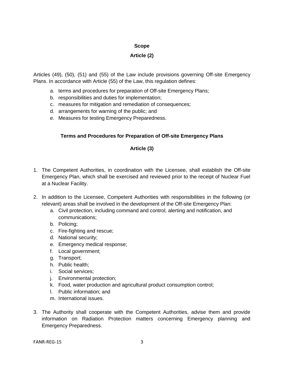#### **Scope**

#### **Article (2)**

<span id="page-3-1"></span><span id="page-3-0"></span>Articles (49), (50), (51) and (55) of the Law include provisions governing Off-site Emergency Plans. In accordance with Article (55) of the Law, this regulation defines:

- a. terms and procedures for preparation of Off-site Emergency Plans;
- b. responsibilities and duties for implementation;
- c. measures for mitigation and remediation of consequences;
- d. arrangements for warning of the public; and
- <span id="page-3-2"></span>*e.* Measures for testing Emergency Preparedness.

#### **Terms and Procedures for Preparation of Off-site Emergency Plans**

#### **Article (3)**

- <span id="page-3-3"></span>1. The Competent Authorities, in coordination with the Licensee, shall establish the Off-site Emergency Plan, which shall be exercised and reviewed prior to the receipt of Nuclear Fuel at a Nuclear Facility.
- 2. In addition to the Licensee, Competent Authorities with responsibilities in the following (or relevant) areas shall be involved in the development of the Off-site Emergency Plan:
	- a. Civil protection, including command and control, alerting and notification, and communications;
	- b. Policing;
	- c. Fire-fighting and rescue;
	- d. National security;
	- e. Emergency medical response;
	- f. Local government;
	- g. Transport;
	- h. Public health;
	- i. Social services;
	- j. Environmental protection;
	- k. Food, water production and agricultural product consumption control;
	- l. Public information; and
	- m. International issues.
- 3. The Authority shall cooperate with the Competent Authorities, advise them and provide information on Radiation Protection matters concerning Emergency planning and Emergency Preparedness.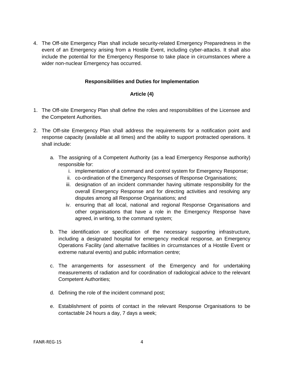4. The Off-site Emergency Plan shall include security-related Emergency Preparedness in the event of an Emergency arising from a Hostile Event, including cyber-attacks. It shall also include the potential for the Emergency Response to take place in circumstances where a wider non-nuclear Emergency has occurred.

#### **Responsibilities and Duties for Implementation**

#### **Article (4)**

- <span id="page-4-1"></span><span id="page-4-0"></span>1. The Off-site Emergency Plan shall define the roles and responsibilities of the Licensee and the Competent Authorities*.*
- 2. The Off-site Emergency Plan shall address the requirements for a notification point and response capacity (available at all times) and the ability to support protracted operations. It shall include:
	- a. The assigning of a Competent Authority (as a lead Emergency Response authority) responsible for:
		- i. implementation of a command and control system for Emergency Response;
		- ii. co-ordination of the Emergency Responses of Response Organisations;
		- iii. designation of an incident commander having ultimate responsibility for the overall Emergency Response and for directing activities and resolving any disputes among all Response Organisations; and
		- iv. ensuring that all local, national and regional Response Organisations and other organisations that have a role in the Emergency Response have agreed, in writing, to the command system;
	- b. The identification or specification of the necessary supporting infrastructure, including a designated hospital for emergency medical response, an Emergency Operations Facility (and alternative facilities in circumstances of a Hostile Event or extreme natural events) and public information centre;
	- c. The arrangements for assessment of the Emergency and for undertaking measurements of radiation and for coordination of radiological advice to the relevant Competent Authorities;
	- d. Defining the role of the incident command post;
	- e. Establishment of points of contact in the relevant Response Organisations to be contactable 24 hours a day, 7 days a week;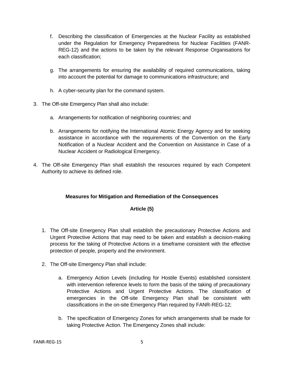- f. Describing the classification of Emergencies at the Nuclear Facility as established under the Regulation for Emergency Preparedness for Nuclear Facilities (FANR-REG-12) and the actions to be taken by the relevant Response Organisations for each classification;
- g. The arrangements for ensuring the availability of required communications, taking into account the potential for damage to communications infrastructure; and
- h. A cyber-security plan for the command system.
- 3. The Off-site Emergency Plan shall also include:
	- a. Arrangements for notification of neighboring countries; and
	- b. Arrangements for notifying the International Atomic Energy Agency and for seeking assistance in accordance with the requirements of the Convention on the Early Notification of a Nuclear Accident and the Convention on Assistance in Case of a Nuclear Accident or Radiological Emergency.
- <span id="page-5-0"></span>4. The Off-site Emergency Plan shall establish the resources required by each Competent Authority to achieve its defined role.

#### **Measures for Mitigation and Remediation of the Consequences**

#### **Article (5)**

- <span id="page-5-1"></span>1. The Off-site Emergency Plan shall establish the precautionary Protective Actions and Urgent Protective Actions that may need to be taken and establish a decision-making process for the taking of Protective Actions in a timeframe consistent with the effective protection of people, property and the environment.
- 2. The Off-site Emergency Plan shall include:
	- a. Emergency Action Levels (including for Hostile Events) established consistent with intervention reference levels to form the basis of the taking of precautionary Protective Actions and Urgent Protective Actions. The classification of emergencies in the Off-site Emergency Plan shall be consistent with classifications in the on-site Emergency Plan required by FANR-REG-12;
	- b. The specification of Emergency Zones for which arrangements shall be made for taking Protective Action. The Emergency Zones shall include: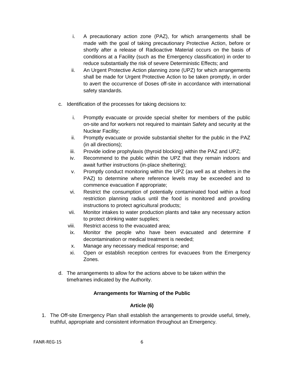- i. A precautionary action zone (PAZ), for which arrangements shall be made with the goal of taking precautionary Protective Action, before or shortly after a release of Radioactive Material occurs on the basis of conditions at a Facility (such as the Emergency classification) in order to reduce substantially the risk of severe Deterministic Effects; and
- ii. An Urgent Protective Action planning zone (UPZ) for which arrangements shall be made for Urgent Protective Action to be taken promptly, in order to avert the occurrence of Doses off-site in accordance with international safety standards.
- c. Identification of the processes for taking decisions to:
	- i. Promptly evacuate or provide special shelter for members of the public on-site and for workers not required to maintain Safety and security at the Nuclear Facility;
	- ii. Promptly evacuate or provide substantial shelter for the public in the PAZ (in all directions);
	- iii. Provide iodine prophylaxis (thyroid blocking) within the PAZ and UPZ;
	- iv. Recommend to the public within the UPZ that they remain indoors and await further instructions (in-place sheltering);
	- v. Promptly conduct monitoring within the UPZ (as well as at shelters in the PAZ) to determine where reference levels may be exceeded and to commence evacuation if appropriate;
	- vi. Restrict the consumption of potentially contaminated food within a food restriction planning radius until the food is monitored and providing instructions to protect agricultural products;
	- vii. Monitor intakes to water production plants and take any necessary action to protect drinking water supplies;
	- viii. Restrict access to the evacuated area;
	- ix. Monitor the people who have been evacuated and determine if decontamination or medical treatment is needed;
	- x. Manage any necessary medical response; and
	- xi. Open or establish reception centres for evacuees from the Emergency Zones.
- d. The arrangements to allow for the actions above to be taken within the timeframes indicated by the Authority.

#### **Arrangements for Warning of the Public**

#### **Article (6)**

<span id="page-6-0"></span>1. The Off-site Emergency Plan shall establish the arrangements to provide useful, timely, truthful, appropriate and consistent information throughout an Emergency.